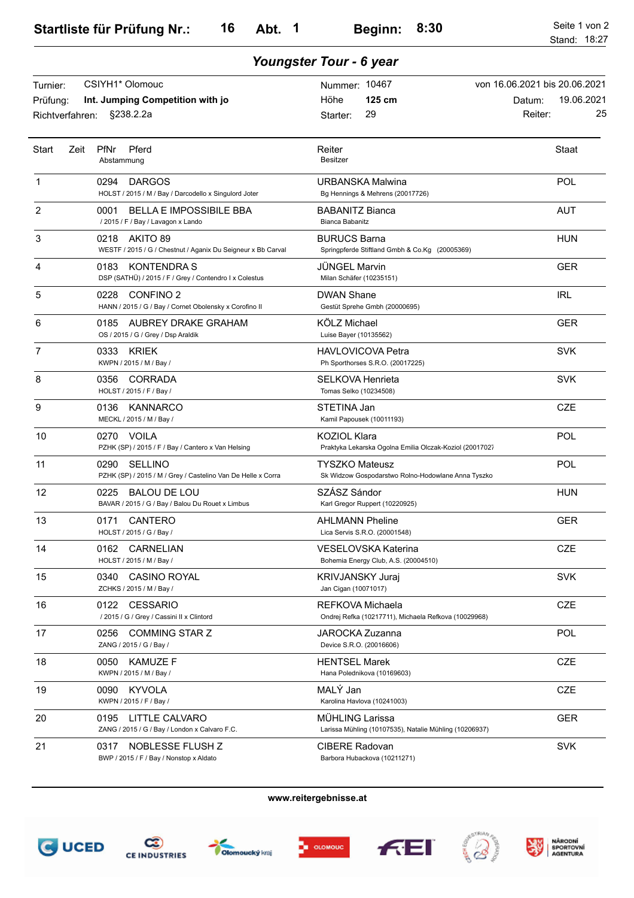| Youngster Tour - 6 year                 |                                                                                        |                                                                             |                                                                        |  |
|-----------------------------------------|----------------------------------------------------------------------------------------|-----------------------------------------------------------------------------|------------------------------------------------------------------------|--|
| Turnier:<br>Prüfung:<br>Richtverfahren: | CSIYH1* Olomouc<br>Int. Jumping Competition with jo<br>§238.2.2a                       | Nummer: 10467<br>125 cm<br>Höhe<br>29<br>Starter:                           | von 16.06.2021 bis 20.06.2021<br>19.06.2021<br>Datum:<br>25<br>Reiter: |  |
| Start                                   | Pferd<br>Zeit<br><b>PfNr</b><br>Abstammung                                             | Reiter<br><b>Besitzer</b>                                                   | Staat                                                                  |  |
| 1                                       | 0294<br><b>DARGOS</b><br>HOLST / 2015 / M / Bay / Darcodello x Singulord Joter         | URBANSKA Malwina<br>Bg Hennings & Mehrens (20017726)                        | POL                                                                    |  |
| $\overline{2}$                          | 0001<br><b>BELLA E IMPOSSIBILE BBA</b><br>/2015/F/Bay/Lavagon x Lando                  | <b>BABANITZ Bianca</b><br>Bianca Babanitz                                   | <b>AUT</b>                                                             |  |
| 3                                       | AKITO 89<br>0218<br>WESTF / 2015 / G / Chestnut / Aganix Du Seigneur x Bb Carval       | <b>BURUCS Barna</b><br>Springpferde Stiftland Gmbh & Co.Kg (20005369)       | <b>HUN</b>                                                             |  |
| 4                                       | <b>KONTENDRA S</b><br>0183<br>DSP (SATHÜ) / 2015 / F / Grey / Contendro I x Colestus   | <b>JUNGEL Marvin</b><br>Milan Schäfer (10235151)                            | <b>GER</b>                                                             |  |
| 5                                       | 0228<br>CONFINO 2<br>HANN / 2015 / G / Bay / Cornet Obolensky x Corofino II            | <b>DWAN Shane</b><br>Gestüt Sprehe Gmbh (20000695)                          | <b>IRL</b>                                                             |  |
| 6                                       | AUBREY DRAKE GRAHAM<br>0185<br>OS / 2015 / G / Grey / Dsp Araldik                      | KÖLZ Michael<br>Luise Bayer (10135562)                                      | <b>GER</b>                                                             |  |
| $\overline{7}$                          | <b>KRIEK</b><br>0333<br>KWPN / 2015 / M / Bay /                                        | <b>HAVLOVICOVA Petra</b><br>Ph Sporthorses S.R.O. (20017225)                | <b>SVK</b>                                                             |  |
| 8                                       | 0356<br>CORRADA<br>HOLST / 2015 / F / Bay /                                            | <b>SELKOVA Henrieta</b><br>Tomas Selko (10234508)                           | <b>SVK</b>                                                             |  |
| 9                                       | KANNARCO<br>0136<br>MECKL / 2015 / M / Bay /                                           | STETINA Jan<br>Kamil Papousek (10011193)                                    | <b>CZE</b>                                                             |  |
| 10                                      | <b>VOILA</b><br>0270<br>PZHK (SP) / 2015 / F / Bay / Cantero x Van Helsing             | KOZIOL Klara<br>Praktyka Lekarska Ogolna Emilia Olczak-Koziol (20017027     | POL                                                                    |  |
| 11                                      | 0290<br><b>SELLINO</b><br>PZHK (SP) / 2015 / M / Grey / Castelino Van De Helle x Corra | <b>TYSZKO Mateusz</b><br>Sk Widzow Gospodarstwo Rolno-Hodowlane Anna Tyszko | POL                                                                    |  |
| 12                                      | 0225<br><b>BALOU DE LOU</b><br>BAVAR / 2015 / G / Bay / Balou Du Rouet x Limbus        | SZÁSZ Sándor<br>Karl Gregor Ruppert (10220925)                              | HUN                                                                    |  |
| 13                                      | 0171<br>CANTERO<br>HOLST / 2015 / G / Bay /                                            | <b>AHLMANN Pheline</b><br>Lica Servis S.R.O. (20001548)                     | <b>GER</b>                                                             |  |
| 14                                      | <b>CARNELIAN</b><br>0162<br>HOLST / 2015 / M / Bay /                                   | VESELOVSKA Katerina<br>Bohemia Energy Club, A.S. (20004510)                 | <b>CZE</b>                                                             |  |
| 15                                      | <b>CASINO ROYAL</b><br>0340<br>ZCHKS / 2015 / M / Bay /                                | <b>KRIVJANSKY Juraj</b><br>Jan Cigan (10071017)                             | <b>SVK</b>                                                             |  |
| 16                                      | 0122<br><b>CESSARIO</b><br>/ 2015 / G / Grey / Cassini II x Clintord                   | REFKOVA Michaela<br>Ondrej Refka (10217711), Michaela Refkova (10029968)    | CZE                                                                    |  |
| 17                                      | 0256<br>COMMING STAR Z<br>ZANG / 2015 / G / Bay /                                      | JAROCKA Zuzanna<br>Device S.R.O. (20016606)                                 | POL                                                                    |  |
| 18                                      | 0050 KAMUZE F<br>KWPN / 2015 / M / Bay /                                               | <b>HENTSEL Marek</b><br>Hana Polednikova (10169603)                         | CZE                                                                    |  |
| 19                                      | 0090<br>KYVOLA<br>KWPN / 2015 / F / Bay /                                              | MALÝ Jan<br>Karolina Havlova (10241003)                                     | CZE                                                                    |  |
| 20                                      | 0195 LITTLE CALVARO<br>ZANG / 2015 / G / Bay / London x Calvaro F.C.                   | MÜHLING Larissa<br>Larissa Mühling (10107535), Natalie Mühling (10206937)   | <b>GER</b>                                                             |  |
| 21                                      | NOBLESSE FLUSH Z<br>0317<br>BWP / 2015 / F / Bay / Nonstop x Aldato                    | CIBERE Radovan<br>Barbora Hubackova (10211271)                              | <b>SVK</b>                                                             |  |

**www.reitergebnisse.at**